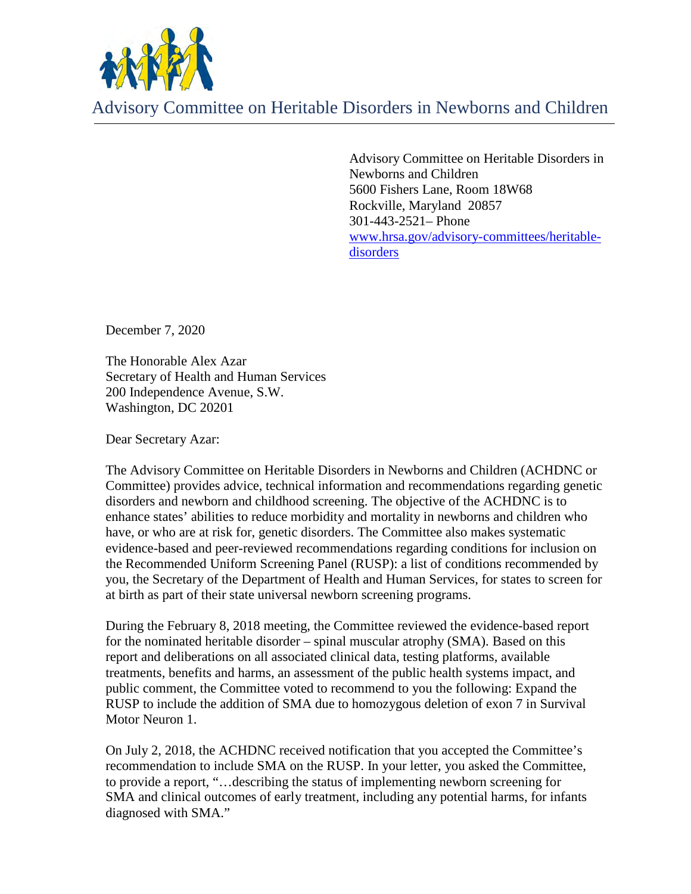

Advisory Committee on Heritable Disorders in Newborns and Children

Advisory Committee on Heritable Disorders in Newborns and Children 5600 Fishers Lane, Room 18W68 Rockville, Maryland 20857 301-443-2521– Phone [www.hrsa.gov/advisory-committees/heritable](http://www.hrsa.gov/advisory-committees/heritable-disorders)[disorders](http://www.hrsa.gov/advisory-committees/heritable-disorders)

December 7, 2020

The Honorable Alex Azar Secretary of Health and Human Services 200 Independence Avenue, S.W. Washington, DC 20201

Dear Secretary Azar:

The Advisory Committee on Heritable Disorders in Newborns and Children (ACHDNC or Committee) provides advice, technical information and recommendations regarding genetic disorders and newborn and childhood screening. The objective of the ACHDNC is to enhance states' abilities to reduce morbidity and mortality in newborns and children who have, or who are at risk for, genetic disorders. The Committee also makes systematic evidence-based and peer-reviewed recommendations regarding conditions for inclusion on the Recommended Uniform Screening Panel (RUSP): a list of conditions recommended by you, the Secretary of the Department of Health and Human Services, for states to screen for at birth as part of their state universal newborn screening programs.

During the February 8, 2018 meeting, the Committee reviewed the evidence-based report for the nominated heritable disorder – spinal muscular atrophy (SMA). Based on this report and deliberations on all associated clinical data, testing platforms, available treatments, benefits and harms, an assessment of the public health systems impact, and public comment, the Committee voted to recommend to you the following: Expand the RUSP to include the addition of SMA due to homozygous deletion of exon 7 in Survival Motor Neuron 1.

On July 2, 2018, the ACHDNC received notification that you accepted the Committee's recommendation to include SMA on the RUSP. In your letter, you asked the Committee, to provide a report, "…describing the status of implementing newborn screening for SMA and clinical outcomes of early treatment, including any potential harms, for infants diagnosed with SMA."